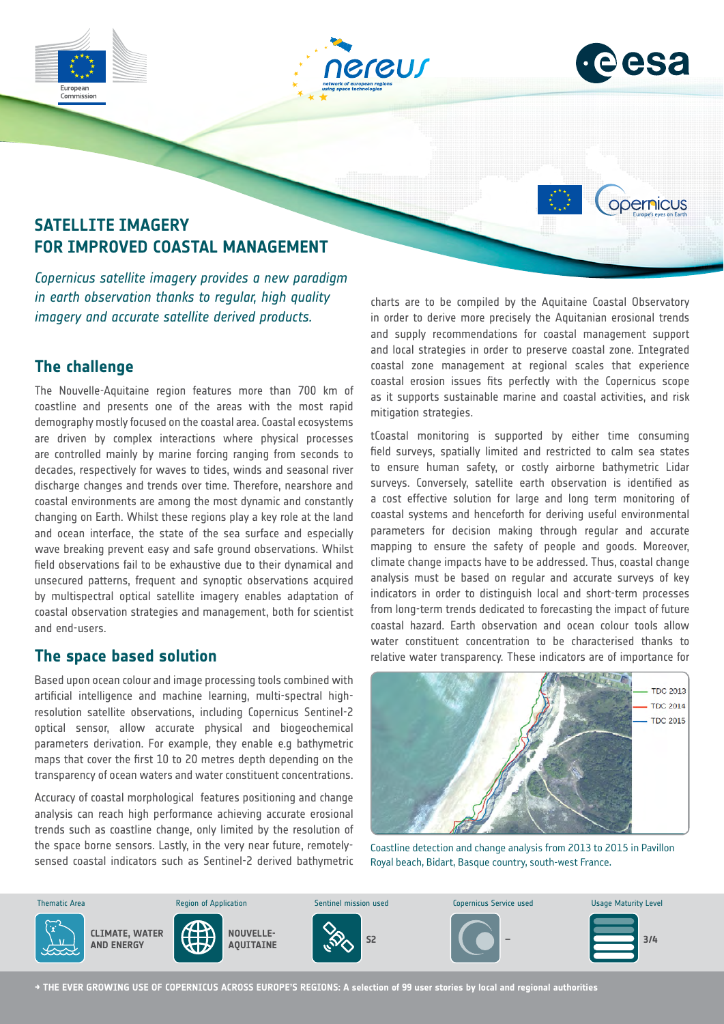





opernicus

# **SATELLITE IMAGERY FOR IMPROVED COASTAL MANAGEMENT**

*Copernicus satellite imagery provides a new paradigm in earth observation thanks to regular, high quality imagery and accurate satellite derived products.* 

## **The challenge**

The Nouvelle-Aquitaine region features more than 700 km of coastline and presents one of the areas with the most rapid demography mostly focused on the coastal area. Coastal ecosystems are driven by complex interactions where physical processes are controlled mainly by marine forcing ranging from seconds to decades, respectively for waves to tides, winds and seasonal river discharge changes and trends over time. Therefore, nearshore and coastal environments are among the most dynamic and constantly changing on Earth. Whilst these regions play a key role at the land and ocean interface, the state of the sea surface and especially wave breaking prevent easy and safe ground observations. Whilst field observations fail to be exhaustive due to their dynamical and unsecured patterns, frequent and synoptic observations acquired by multispectral optical satellite imagery enables adaptation of coastal observation strategies and management, both for scientist and end-users.

### **The space based solution**

Based upon ocean colour and image processing tools combined with artificial intelligence and machine learning, multi-spectral highresolution satellite observations, including Copernicus Sentinel-2 optical sensor, allow accurate physical and biogeochemical parameters derivation. For example, they enable e.g bathymetric maps that cover the first 10 to 20 metres depth depending on the transparency of ocean waters and water constituent concentrations.

Accuracy of coastal morphological features positioning and change analysis can reach high performance achieving accurate erosional trends such as coastline change, only limited by the resolution of the space borne sensors. Lastly, in the very near future, remotelysensed coastal indicators such as Sentinel-2 derived bathymetric

charts are to be compiled by the Aquitaine Coastal Observatory in order to derive more precisely the Aquitanian erosional trends and supply recommendations for coastal management support and local strategies in order to preserve coastal zone. Integrated coastal zone management at regional scales that experience coastal erosion issues fits perfectly with the Copernicus scope as it supports sustainable marine and coastal activities, and risk mitigation strategies.

tCoastal monitoring is supported by either time consuming field surveys, spatially limited and restricted to calm sea states to ensure human safety, or costly airborne bathymetric Lidar surveys. Conversely, satellite earth observation is identified as a cost effective solution for large and long term monitoring of coastal systems and henceforth for deriving useful environmental parameters for decision making through regular and accurate mapping to ensure the safety of people and goods. Moreover, climate change impacts have to be addressed. Thus, coastal change analysis must be based on regular and accurate surveys of key indicators in order to distinguish local and short-term processes from long-term trends dedicated to forecasting the impact of future coastal hazard. Earth observation and ocean colour tools allow water constituent concentration to be characterised thanks to relative water transparency. These indicators are of importance for



Coastline detection and change analysis from 2013 to 2015 in Pavillon Royal beach, Bidart, Basque country, south-west France.



**→ THE EVER GROWING USE OF COPERNICUS ACROSS EUROPE'S REGIONS: A selection of 99 user stories by local and regional authorities**